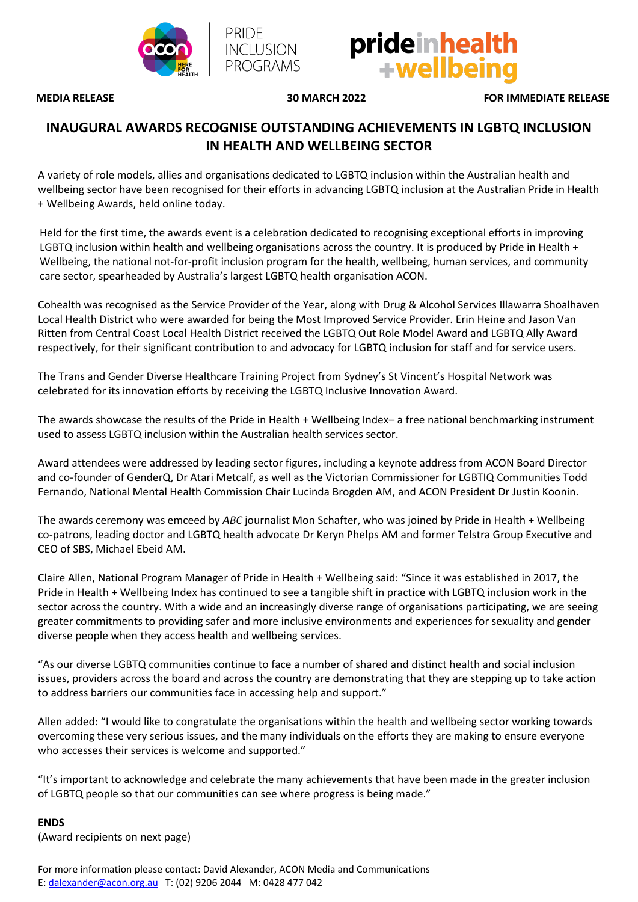

PRIDE

**INCLUSION PROGRAMS** 



**MEDIA RELEASE 30 MARCH 2022 FOR IMMEDIATE RELEASE**

## **INAUGURAL AWARDS RECOGNISE OUTSTANDING ACHIEVEMENTS IN LGBTQ INCLUSION IN HEALTH AND WELLBEING SECTOR**

A variety of role models, allies and organisations dedicated to LGBTQ inclusion within the Australian health and wellbeing sector have been recognised for their efforts in advancing LGBTQ inclusion at the Australian Pride in Health + Wellbeing Awards, held online today.

Held for the first time, the awards event is a celebration dedicated to recognising exceptional efforts in improving LGBTQ inclusion within health and wellbeing organisations across the country. It is produced by Pride in Health + Wellbeing, the national not-for-profit inclusion program for the health, wellbeing, human services, and community care sector, spearheaded by Australia's largest LGBTQ health organisation ACON.

Cohealth was recognised as the Service Provider of the Year, along with Drug & Alcohol Services Illawarra Shoalhaven Local Health District who were awarded for being the Most Improved Service Provider. Erin Heine and Jason Van Ritten from Central Coast Local Health District received the LGBTQ Out Role Model Award and LGBTQ Ally Award respectively, for their significant contribution to and advocacy for LGBTQ inclusion for staff and for service users.

The Trans and Gender Diverse Healthcare Training Project from Sydney's St Vincent's Hospital Network was celebrated for its innovation efforts by receiving the LGBTQ Inclusive Innovation Award.

The awards showcase the results of the Pride in Health + Wellbeing Index– a free national benchmarking instrument used to assess LGBTQ inclusion within the Australian health services sector.

Award attendees were addressed by leading sector figures, including a keynote address from ACON Board Director and co-founder of GenderQ, Dr Atari Metcalf, as well as the Victorian Commissioner for LGBTIQ Communities Todd Fernando, National Mental Health Commission Chair Lucinda Brogden AM, and ACON President Dr Justin Koonin.

The awards ceremony was emceed by *ABC* journalist Mon Schafter, who was joined by Pride in Health + Wellbeing co-patrons, leading doctor and LGBTQ health advocate Dr Keryn Phelps AM and former Telstra Group Executive and CEO of SBS, Michael Ebeid AM.

Claire Allen, National Program Manager of Pride in Health + Wellbeing said: "Since it was established in 2017, the Pride in Health + Wellbeing Index has continued to see a tangible shift in practice with LGBTQ inclusion work in the sector across the country. With a wide and an increasingly diverse range of organisations participating, we are seeing greater commitments to providing safer and more inclusive environments and experiences for sexuality and gender diverse people when they access health and wellbeing services.

"As our diverse LGBTQ communities continue to face a number of shared and distinct health and social inclusion issues, providers across the board and across the country are demonstrating that they are stepping up to take action to address barriers our communities face in accessing help and support."

Allen added: "I would like to congratulate the organisations within the health and wellbeing sector working towards overcoming these very serious issues, and the many individuals on the efforts they are making to ensure everyone who accesses their services is welcome and supported."

"It's important to acknowledge and celebrate the many achievements that have been made in the greater inclusion of LGBTQ people so that our communities can see where progress is being made."

## **ENDS**

(Award recipients on next page)